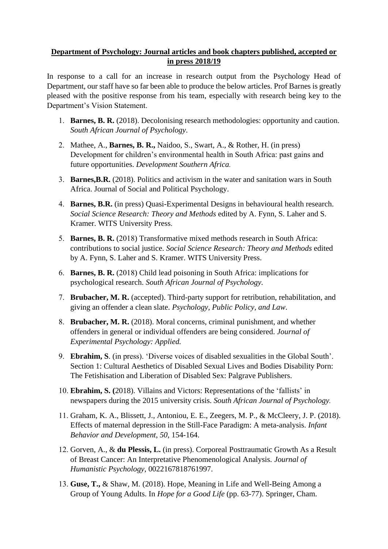## **Department of Psychology: Journal articles and book chapters published, accepted or in press 2018/19**

In response to a call for an increase in research output from the Psychology Head of Department, our staff have so far been able to produce the below articles. Prof Barnes is greatly pleased with the positive response from his team, especially with research being key to the Department's Vision Statement.

- 1. **Barnes, B. R.** (2018). Decolonising research methodologies: opportunity and caution. *South African Journal of Psychology*.
- 2. Mathee, A., **Barnes, B. R.,** Naidoo, S., Swart, A., & Rother, H. (in press) Development for children's environmental health in South Africa: past gains and future opportunities. *Development Southern Africa.*
- 3. **Barnes,B.R.** (2018). [Politics and activism in the water and sanitation wars in South](https://www.researchgate.net/publication/329843249_Politics_and_activism_in_the_water_and_sanitation_wars_in_South_Africa?pli=1&loginT=ghPGLP3ORtBV-yNHEr7ecBZISxpQdtb4cpEa-vMZZY2zHQI2e44ihW_oS9jBQMWU3IU2No8U&uid=AH9Ll4g6ipI9XHGjWPtvJkCdIo1ux15uUBgD&cp=re442_dp_pb_hnsg_p110&ch=reg&utm_medium=email&utm_source=researchgate&utm_campaign=re442&utm_term=re442_dp_pb_hnsg&utm_content=re442_dp_pb_hnsg_p110) [Africa. Journal of Social and Political Psychology.](https://www.researchgate.net/publication/329843249_Politics_and_activism_in_the_water_and_sanitation_wars_in_South_Africa?pli=1&loginT=ghPGLP3ORtBV-yNHEr7ecBZISxpQdtb4cpEa-vMZZY2zHQI2e44ihW_oS9jBQMWU3IU2No8U&uid=AH9Ll4g6ipI9XHGjWPtvJkCdIo1ux15uUBgD&cp=re442_dp_pb_hnsg_p110&ch=reg&utm_medium=email&utm_source=researchgate&utm_campaign=re442&utm_term=re442_dp_pb_hnsg&utm_content=re442_dp_pb_hnsg_p110)
- 4. **Barnes, B.R.** (in press) Quasi-Experimental Designs in behavioural health research. *Social Science Research: Theory and Methods* edited by A. Fynn, S. Laher and S. Kramer. WITS University Press.
- 5. **Barnes, B. R.** (2018) Transformative mixed methods research in South Africa: contributions to social justice. *Social Science Research: Theory and Methods* edited by A. Fynn, S. Laher and S. Kramer. WITS University Press.
- 6. **Barnes, B. R.** (2018) Child lead poisoning in South Africa: implications for psychological research. *South African Journal of Psychology.*
- 7. **Brubacher, M. R.** (accepted). Third-party support for retribution, rehabilitation, and giving an offender a clean slate. *Psychology, Public Policy, and Law*.
- 8. **Brubacher, M. R.** (2018). Moral concerns, criminal punishment, and whether offenders in general or individual offenders are being considered. *Journal of Experimental Psychology: Applied.*
- 9. **Ebrahim, S**. (in press). 'Diverse voices of disabled sexualities in the Global South'. Section 1: Cultural Aesthetics of Disabled Sexual Lives and Bodies Disability Porn: The Fetishisation and Liberation of Disabled Sex: Palgrave Publishers.
- 10. **Ebrahim, S. (**2018). Villains and Victors: Representations of the 'fallists' in newspapers during the 2015 university crisis. *South African Journal of Psychology.*
- 11. Graham, K. A., Blissett, J., Antoniou, E. E., Zeegers, M. P., & McCleery, J. P. (2018). Effects of maternal depression in the Still-Face Paradigm: A meta-analysis. *Infant Behavior and Development*, *50*, 154-164.
- 12. Gorven, A., & **du Plessis, L.** (in press). Corporeal Posttraumatic Growth As a Result of Breast Cancer: An Interpretative Phenomenological Analysis. *Journal of Humanistic Psychology*, 0022167818761997.
- 13. **Guse, T.,** & Shaw, M. (2018). Hope, Meaning in Life and Well-Being Among a Group of Young Adults. In *Hope for a Good Life* (pp. 63-77). Springer, Cham.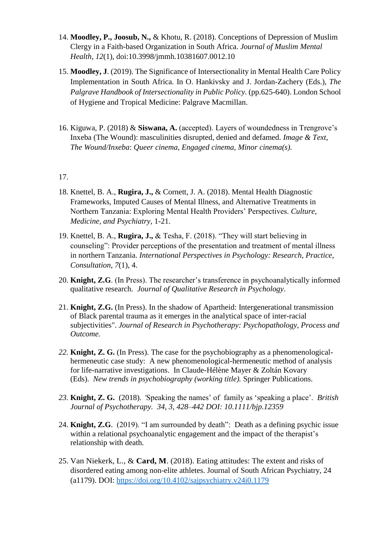- 14. **Moodley, P., Joosub, N.,** & Khotu, R. (2018). Conceptions of Depression of Muslim Clergy in a Faith-based Organization in South Africa. *Journal of Muslim Mental Health, 12*(1), doi:10.3998/jmmh.10381607.0012.10
- 15. **Moodley, J**. (2019). The Significance of Intersectionality in Mental Health Care Policy Implementation in South Africa. In O. Hankivsky and J. Jordan-Zachery (Eds.), *The Palgrave Handbook of Intersectionality in Public Policy.* (pp.625-640). London School of Hygiene and Tropical Medicine: Palgrave Macmillan.
- 16. Kiguwa, P. (2018) & **Siswana, A.** (accepted). Layers of woundedness in Trengrove's Inxeba (The Wound): masculinities disrupted, denied and defamed. *Image & Text*, *The Wound/Inxeba*: *Queer cinema, Engaged cinema, Minor cinema(s).*

## 17.

- 18. Knettel, B. A., **Rugira, J.,** & Cornett, J. A. (2018). Mental Health Diagnostic Frameworks, Imputed Causes of Mental Illness, and Alternative Treatments in Northern Tanzania: Exploring Mental Health Providers' Perspectives. *Culture, Medicine, and Psychiatry*, 1-21.
- 19. Knettel, B. A., **Rugira, J.,** & Tesha, F. (2018). "They will start believing in counseling": Provider perceptions of the presentation and treatment of mental illness in northern Tanzania. *International Perspectives in Psychology: Research, Practice, Consultation*, *7*(1), 4.
- 20. **Knight, Z.G**. (In Press). The researcher's transference in psychoanalytically informed qualitative research. *Journal of Qualitative Research in Psychology*.
- 21. **Knight, Z.G.** (In Press). In the shadow of Apartheid: Intergenerational transmission of Black parental trauma as it emerges in the analytical space of inter-racial subjectivities". *Journal of Research in Psychotherapy: Psychopathology, Process and Outcome.*
- *22.* **Knight, Z. G.** (In Press). The case for the psychobiography as a phenomenologicalhermeneutic case study: A new phenomenological-hermeneutic method of analysis for life-narrative investigations. In Claude-Hélène Mayer & Zoltán Kovary (Eds). *New trends in psychobiography (working title).* Springer Publications.
- *23.* **Knight, Z. G.** (2018). *'*Speaking the names' of family as 'speaking a place'. *British Journal of Psychotherapy. 34, 3, 428–442 DOI: 10.1111/bjp.12359*
- 24. **Knight, Z.G**. (2019). "I am surrounded by death": Death as a defining psychic issue within a relational psychoanalytic engagement and the impact of the therapist's relationship with death.
- 25. Van Niekerk, L., & **Card, M**. (2018). Eating attitudes: The extent and risks of disordered eating among non-elite athletes. Journal of South African Psychiatry, 24 (a1179). DOI: <https://doi.org/10.4102/sajpsychiatry.v24i0.1179>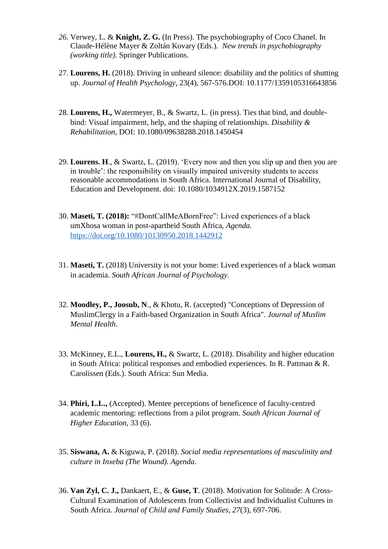- *26.* Verwey, L. & **Knight, Z. G.** (In Press). The psychobiography of Coco Chanel. In Claude-Hélène Mayer & Zoltán Kovary (Eds.). *New trends in psychobiography (working title).* Springer Publications.
- 27. **Lourens, H.** (2018). Driving in unheard silence: disability and the politics of shutting up. *Journal of Health Psychology*, 23(4), 567-576.DOI: 10.1177/1359105316643856
- 28. **Lourens, H.,** Watermeyer, B., & Swartz, L. (in press). Ties that bind, and doublebind: Visual impairment, help, and the shaping of relationships. *Disability & Rehabilitation*, DOI: 10.1080/09638288.2018.1450454
- 29. **Lourens. H**., & Swartz, L. (2019). 'Every now and then you slip up and then you are in trouble': the responsibility on visually impaired university students to access reasonable accommodations in South Africa. International Journal of Disability, Education and Development. doi: 10.1080/1034912X.2019.1587152
- 30. **Maseti, T. (2018):** "#DontCallMeABornFree": Lived experiences of a black umXhosa woman in post-apartheid South Africa, *Agenda.* <https://doi.org/10.1080/10130950.2018.1442912>
- 31. **Maseti, T.** (2018) University is not your home: Lived experiences of a black woman in academia. *South African Journal of Psychology.*
- 32. **Moodley, P., Joosub, N**., & Khotu, R. (accepted) "Conceptions of Depression of MuslimClergy in a Faith-based Organization in South Africa". *Journal of Muslim Mental Health*.
- 33. McKinney, E.L., **Lourens, H.,** & Swartz, L. (2018). Disability and higher education in South Africa: political responses and embodied experiences. In R. Pattman & R. Carolissen (Eds.). South Africa: Sun Media.
- 34. **Phiri, L.L.,** (Accepted). Mentee perceptions of beneficence of faculty-centred academic mentoring: reflections from a pilot program. *South African Journal of Higher Education*, 33 (6).
- 35. **Siswana, A.** & Kiguwa, P. (2018). *Social media representations of masculinity and culture in Inxeba (The Wound). Agenda*.
- 36. **Van Zyl, C. J.,** Dankaert, E., & **Guse, T**. (2018). Motivation for Solitude: A Cross-Cultural Examination of Adolescents from Collectivist and Individualist Cultures in South Africa. *Journal of Child and Family Studies*, *27*(3), 697-706.